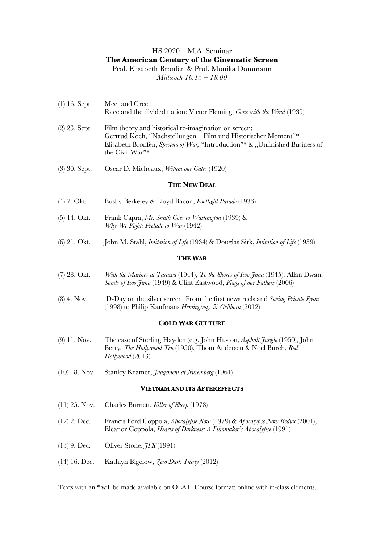# HS 2020 – M.A. Seminar **The American Century of the Cinematic Screen**

Prof. Elisabeth Bronfen & Prof. Monika Dommann *Mittwoch 16.15 – 18.00*

- (1) 16. Sept. Meet and Greet: Race and the divided nation: Victor Fleming, *Gone with the Wind* (1939) (2) 23. Sept. Film theory and historical re-imagination on screen: Gertrud Koch, "Nachstellungen – Film und Historischer Moment"\* Elisabeth Bronfen, *Specters of War*, "Introduction"\* & "Unfinished Business of
- (3) 30. Sept. Oscar D. Micheaux, *Within our Gates* (1920)

the Civil War"\*

## **THE NEW DEAL**

- (4) 7. Okt. Busby Berkeley & Lloyd Bacon, *Footlight Parade* (1933)
- (5) 14. Okt. Frank Capra, *Mr. Smith Goes to Washington* (1939) & *Why We Fight: Prelude to War* (1942)
- (6) 21. Okt. John M. Stahl, *Imitation of Life* (1934) & Douglas Sirk, *Imitation of Life* (1959)

## **THE WAR**

- (7) 28. Okt. *With the Marines at Tarawa* (1944), *To the Shores of Iwo Jima* (1945), Allan Dwan, *Sands of Iwo Jima* (1949) & Clint Eastwood, *Flags of our Fathers* (2006)
- (8) 4. Nov. D-Day on the silver screen: From the first news reels and *Saving Private Ryan* (1998) to Philip Kaufmans *Hemingway & Gellhorn* (2012)

## **COLD WAR CULTURE**

- (9) 11. Nov. The case of Sterling Hayden (e.g. John Huston, *Asphalt Jungle* (1950), John Berry*, The Hollywood Ten* (1950), Thom Andersen & Noel Burch, *Red Hollywood* (2013)
- (10) 18. Nov. Stanley Kramer, *Judgement at Nuremberg* (1961)

### **VIETNAM AND ITS AFTEREFFECTS**

- (11) 25. Nov. Charles Burnett, *Killer of Sheep* (1978)
- (12) 2. Dec. Francis Ford Coppola, *Apocalypse Now* (1979) & *Apocalypse Now Redux* (2001), Eleanor Coppola, *Hearts of Darkness: A Filmmaker's Apocalypse* (1991)
- (13) 9. Dec. Oliver Stone, *JFK* (1991)
- (14) 16. Dec. Kathlyn Bigelow, *Zero Dark Thirty* (2012)

Texts with an \* will be made available on OLAT. Course format: online with in-class elements.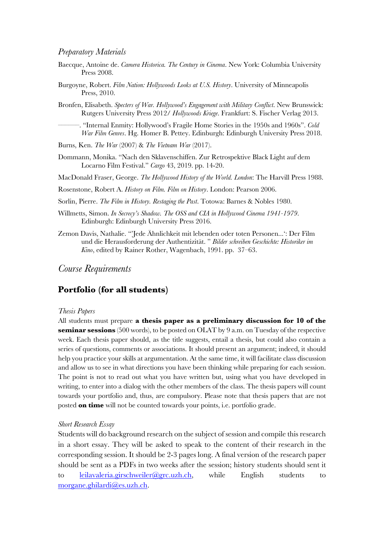## *Preparatory Materials*

- Baecque, Antoine de. *Camera Historica. The Century in Cinema*. New York: Columbia University Press 2008.
- Burgoyne, Robert. *Film Nation: Hollywoods Looks at U.S. History*. University of Minneapolis Press, 2010.

Bronfen, Elisabeth. *Specters of War. Hollywood's Engagement with Military Conflict*. New Brunswick: Rutgers University Press 2012/ *Hollywoods Kriege*. Frankfurt: S. Fischer Verlag 2013.

––––––. "Internal Enmity: Hollywood's Fragile Home Stories in the 1950s and 1960s". *Cold War Film Genres*. Hg. Homer B. Pettey. Edinburgh: Edinburgh University Press 2018.

Burns, Ken. *The War* (2007) & *The Vietnam War* (2017).

Dommann, Monika. "Nach den Sklavenschiffen. Zur Retrospektive Black Light auf dem Locarno Film Festival." *Cargo* 43, 2019. pp. 14-20.

MacDonald Fraser, George. *The Hollywood History of the World. London*: The Harvill Press 1988.

Rosenstone, Robert A. *History on Film. Film on History*. London: Pearson 2006.

Sorlin, Pierre. *The Film in History. Restaging the Past*. Totowa: Barnes & Nobles 1980.

- Willmetts, Simon. *In Secrecy's Shadow. The OSS and CIA in Hollywood Cinema 1941-1979*. Edinburgh: Edinburgh University Press 2016.
- Zemon Davis, Nathalie. "'Jede Ähnlichkeit mit lebenden oder toten Personen...': Der Film und die Herausforderung der Authentizität. " *Bilder schreiben Geschichte: Historiker im Kino*, edited by Rainer Rother, Wagenbach, 1991. pp. 37–63.

*Course Requirements*

## **Portfolio (for all students)**

## *Thesis Papers*

All students must prepare **a thesis paper as a preliminary discussion for 10 of the seminar sessions** (500 words), to be posted on OLAT by 9 a.m. on Tuesday of the respective week. Each thesis paper should, as the title suggests, entail a thesis, but could also contain a series of questions, comments or associations. It should present an argument; indeed, it should help you practice your skills at argumentation. At the same time, it will facilitate class discussion and allow us to see in what directions you have been thinking while preparing for each session. The point is not to read out what you have written but, using what you have developed in writing, to enter into a dialog with the other members of the class. The thesis papers will count towards your portfolio and, thus, are compulsory. Please note that thesis papers that are not posted **on time** will not be counted towards your points, i.e. portfolio grade.

#### *Short Research Essay*

Students will do background research on the subject of session and compile this research in a short essay. They will be asked to speak to the content of their research in the corresponding session. It should be 2-3 pages long. A final version of the research paper should be sent as a PDFs in two weeks after the session; history students should sent it to leilavaleria.girschweiler@grc.uzh.ch, while English students to morgane.ghilardi@es.uzh.ch.